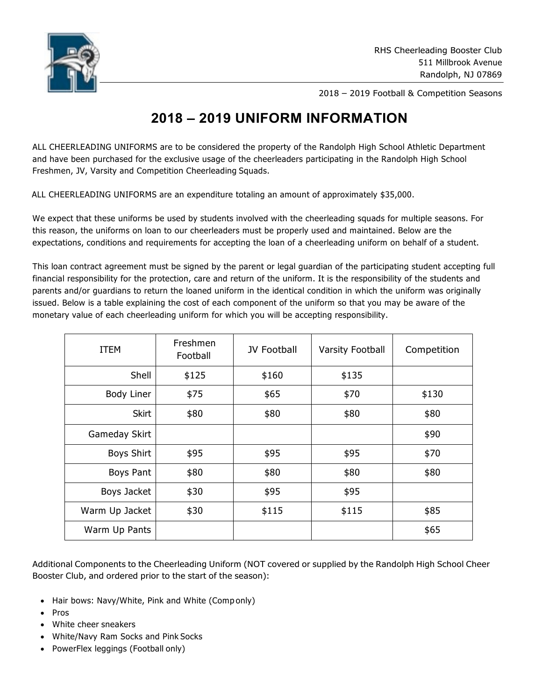

2018 – 2019 Football & Competition Seasons

## **2018 – 2019 UNIFORM INFORMATION**

ALL CHEERLEADING UNIFORMS are to be considered the property of the Randolph High School Athletic Department and have been purchased for the exclusive usage of the cheerleaders participating in the Randolph High School Freshmen, JV, Varsity and Competition Cheerleading Squads.

ALL CHEERLEADING UNIFORMS are an expenditure totaling an amount of approximately \$35,000.

We expect that these uniforms be used by students involved with the cheerleading squads for multiple seasons. For this reason, the uniforms on loan to our cheerleaders must be properly used and maintained. Below are the expectations, conditions and requirements for accepting the loan of a cheerleading uniform on behalf of a student.

This loan contract agreement must be signed by the parent or legal guardian of the participating student accepting full financial responsibility for the protection, care and return of the uniform. It is the responsibility of the students and parents and/or guardians to return the loaned uniform in the identical condition in which the uniform was originally issued. Below is a table explaining the cost of each component of the uniform so that you may be aware of the monetary value of each cheerleading uniform for which you will be accepting responsibility.

| <b>ITEM</b>       | Freshmen<br>Football | <b>JV Football</b> | <b>Varsity Football</b> | Competition |
|-------------------|----------------------|--------------------|-------------------------|-------------|
| Shell             | \$125                | \$160              | \$135                   |             |
| <b>Body Liner</b> | \$75                 | \$65               | \$70                    | \$130       |
| <b>Skirt</b>      | \$80                 | \$80               | \$80                    | \$80        |
| Gameday Skirt     |                      |                    |                         | \$90        |
| <b>Boys Shirt</b> | \$95                 | \$95               | \$95                    | \$70        |
| Boys Pant         | \$80                 | \$80               | \$80                    | \$80        |
| Boys Jacket       | \$30                 | \$95               | \$95                    |             |
| Warm Up Jacket    | \$30                 | \$115              | \$115                   | \$85        |
| Warm Up Pants     |                      |                    |                         | \$65        |

Additional Components to the Cheerleading Uniform (NOT covered or supplied by the Randolph High School Cheer Booster Club, and ordered prior to the start of the season):

- Hair bows: Navy/White, Pink and White (Componly)
- Pros
- White cheer sneakers
- White/Navy Ram Socks and Pink Socks
- PowerFlex leggings (Football only)